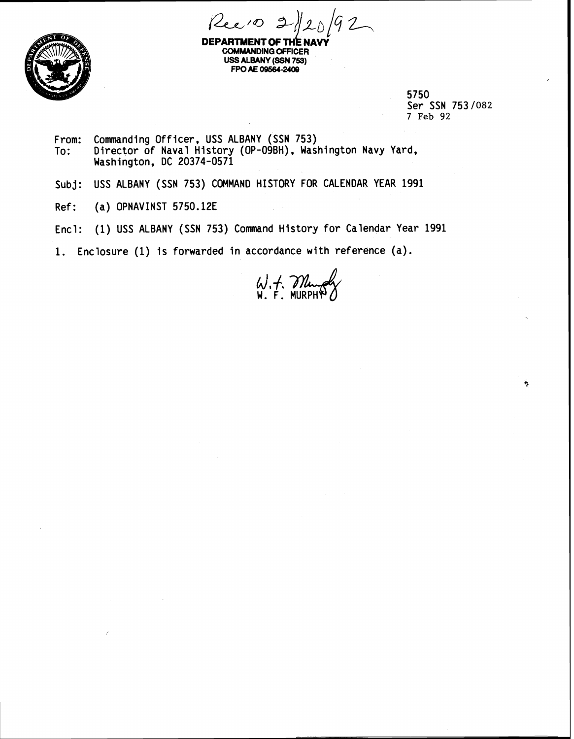



**DEPARTMENT OF THE N COMMANDING OFFICER USS ALBANY (SSN 753) FPO AE 09664-2408** 

> 5750 Ser SSN 753/082 7 **Feb** 92

> > ۹

- From: Commanding Officer, USS ALBANY (SSN 753) To: Director of Naval History (OP-O9BH), Washington Navy Yard, Washington, DC 20374-0571
- **Subj:** USS ALBANY (SSN 753) COMMAND HISTORY FOR CALENDAR YEAR 1991
- Ref: (a) OPNAVINST 5750.12E
- Encl: (1) USS ALBANY (SSN 753) Command History for Calendar Year 1991

1. Enclosure (1) is forwarded in accordance with reference (a).

W.F. Mung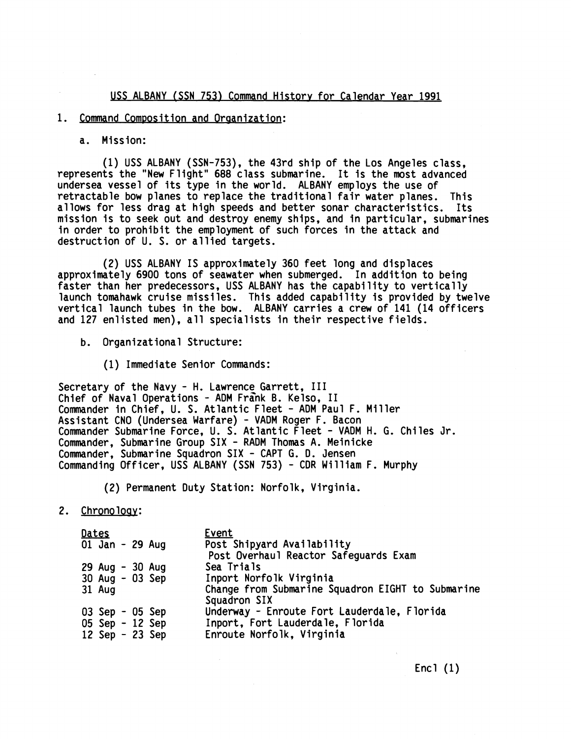**USS ALBANY (SSN 753) Command Historv for Calendar Year 1991** 

## **1. Command Composition and Oraanization:**

**a. Mission:** 

**(1) USS ALBANY (SSN-753), the 43rd ship of the Los Angeles class, represents the "New Flight" 688 class submarine. It is the most advanced undersea vessel of its type in the world. ALBANY employs the use of retractable bow planes to replace the traditional fair water planes. This allows for less drag at high speeds and better sonar characteristics. Its mission is to seek out and destroy enemy ships, and in particular, submarines in order to prohibit the employment of such forces in the attack and destruction of U. S. or allied targets.** 

**(2) USS ALBANY IS approximately 360 feet long and displaces approximately 6900 tons of seawater when submerged. In addition to being faster than her predecessors, USS ALBANY has the capability to vertically launch tomahawk cruise missiles. This added capability is provided by twelve vertical launch tubes in the bow. ALBANY carries a crew of 141 (14 officers and 127 enlisted men), all specialists in their respective fields.** 

- **b. Organizational Structure:** 
	- **(1) Immediate Senior Commands:**

**Secretary of the Navy** - **H. Lawrence Garrett, I11**  Chief of Naval Operations - ADM Frank B. Kelso, II **Commander in Chief, U. S. Atlantic Fleet** - **ADM Paul F. Miller Assistant CNO (Undersea Warfare)** - **VADM Roger F. Bacon Commander Submarine Force,** U. **S. Atlantic Fleet** - **VADM H. G. Chiles Jr. Commander, Submarine Group SIX** - **RADM Thomas A. Meinicke Commander, Submarine Squadron SIX** - **CAPT G. D. Jensen Commanding Officer, USS ALBANY (SSN 753)** - **CDR William F. Murphy** 

**(2) Permanent Duty Station: Norfolk, Virginia.** 

**2. Chronoloav:** 

| <u>Dates</u> |                 |  |  | Event                                                               |
|--------------|-----------------|--|--|---------------------------------------------------------------------|
|              | 01 Jan - 29 Aug |  |  | Post Shipyard Availability<br>Post Overhaul Reactor Safeguards Exam |
|              | 29 Aug - 30 Aug |  |  | Sea Trials                                                          |
|              | 30 Aug - 03 Sep |  |  | Inport Norfolk Virginia                                             |
|              | 31 Aug          |  |  | Change from Submarine Squadron EIGHT to Submarine<br>Squadron SIX   |
|              | 03 Sep - 05 Sep |  |  | Underway - Enroute Fort Lauderdale, Florida                         |
|              | 05 Sep - 12 Sep |  |  | Inport, Fort Lauderdale, Florida                                    |
|              | 12 Sep - 23 Sep |  |  | Enroute Norfolk, Virginia                                           |

**Encl (1)**